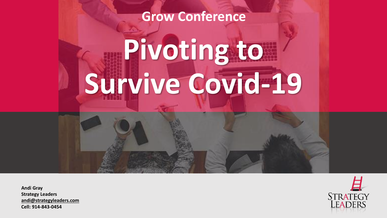## **Grow Conference**

# **Pivoting to Survive Covid-19**

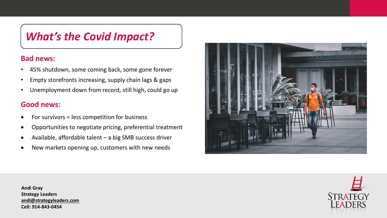## *What's the Covid Impact?*

#### **Bad news:**

- 45% shutdown, some coming back, some gone forever
- Empty storefronts increasing, supply chain lags & gaps
- Unemployment down from record, still high, could go up

#### **Good news:**

- For survivors = less competition for business
- Opportunities to negotiate pricing, preferential treatment
- Available, affordable talent a big SMB success driver
- New markets opening up, customers with new needs



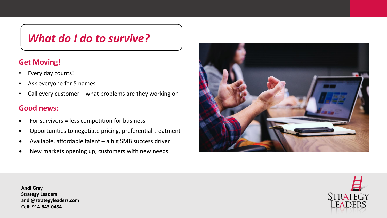## *What do I do to survive?*

## **Get Moving!**

- Every day counts!
- Ask everyone for 5 names
- Call every customer what problems are they working on

#### **Good news:**

- For survivors = less competition for business
- Opportunities to negotiate pricing, preferential treatment
- Available, affordable talent a big SMB success driver
- New markets opening up, customers with new needs





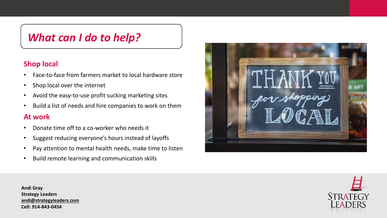## *What can I do to help?*

#### **Shop local**

- Face-to-face from farmers market to local hardware store
- Shop local over the internet
- Avoid the easy-to-use profit sucking marketing sites
- Build a list of needs and hire companies to work on them

#### **At work**

- Donate time off to a co-worker who needs it
- Suggest reducing everyone's hours instead of layoffs
- Pay attention to mental health needs, make time to listen
- Build remote learning and communication skills



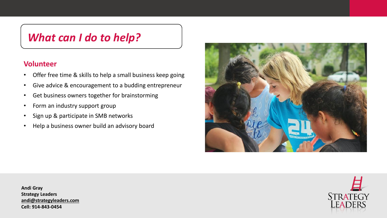## *What can I do to help?*

#### **Volunteer**

- Offer free time & skills to help a small business keep going
- Give advice & encouragement to a budding entrepreneur
- Get business owners together for brainstorming
- Form an industry support group
- Sign up & participate in SMB networks
- Help a business owner build an advisory board





**STRATEGY**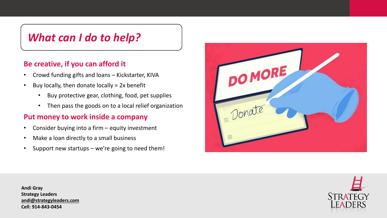## *What can I do to help?*

### **Be creative, if you can afford it**

- Crowd funding gifts and loans Kickstarter, KIVA
- $\cdot$  Buy locally, then donate locally = 2x benefit
	- Buy protective gear, clothing, food, pet supplies
	- Then pass the goods on to a local relief organization

#### **Put money to work inside a company**

- Consider buying into a firm equity investment
- Make a loan directly to a small business
- Support new startups we're going to need them!



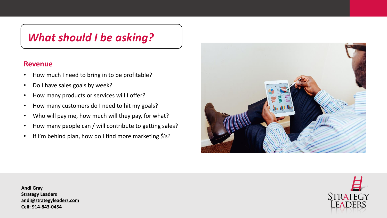## *What should I be asking?*

#### **Revenue**

- How much I need to bring in to be profitable?
- Do I have sales goals by week?
- How many products or services will I offer?
- How many customers do I need to hit my goals?
- Who will pay me, how much will they pay, for what?
- How many people can / will contribute to getting sales?
- If I'm behind plan, how do I find more marketing \$'s?



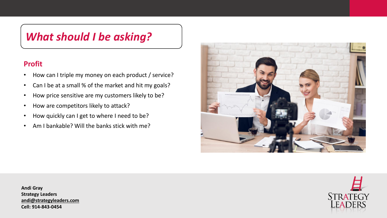## *What should I be asking?*

## **Profit**

- How can I triple my money on each product / service?
- Can I be at a small % of the market and hit my goals?
- How price sensitive are my customers likely to be?
- How are competitors likely to attack?
- How quickly can I get to where I need to be?
- Am I bankable? Will the banks stick with me?



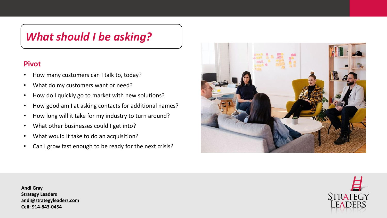## *What should I be asking?*

#### **Pivot**

- How many customers can I talk to, today?
- What do my customers want or need?
- How do I quickly go to market with new solutions?
- How good am I at asking contacts for additional names?
- How long will it take for my industry to turn around?
- What other businesses could I get into?
- What would it take to do an acquisition?
- Can I grow fast enough to be ready for the next crisis?



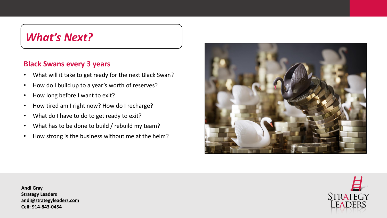## *What's Next?*

#### **Black Swans every 3 years**

- What will it take to get ready for the next Black Swan?
- How do I build up to a year's worth of reserves?
- How long before I want to exit?
- How tired am I right now? How do I recharge?
- What do I have to do to get ready to exit?
- What has to be done to build / rebuild my team?
- How strong is the business without me at the helm?